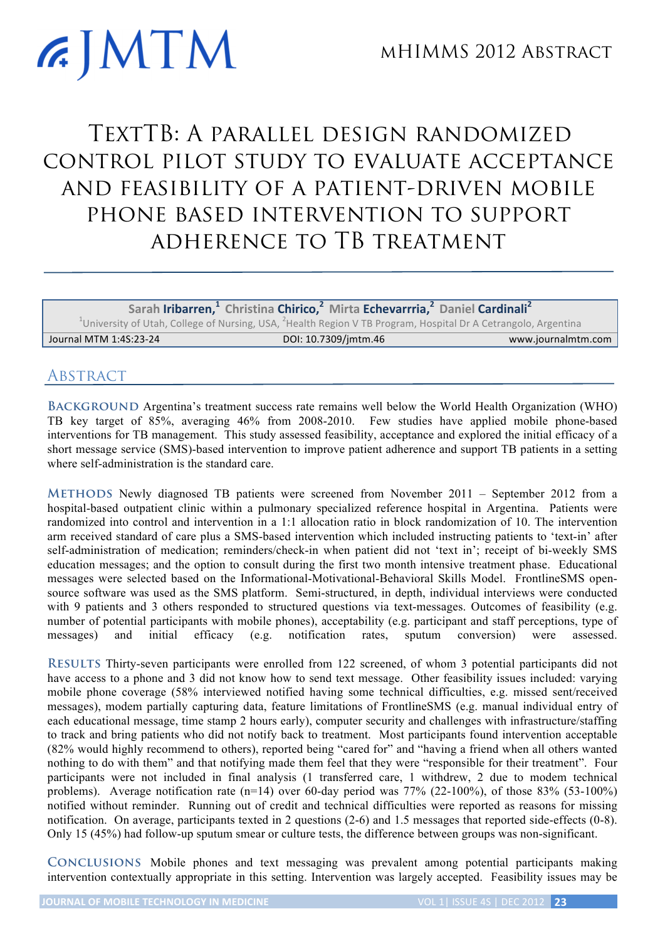## **GIMTM** TextTB: A parallel design randomized

control pilot study to evaluate acceptance and feasibility of a patient-driven mobile phone based intervention to support adherence to TB treatment

**Sarah Iribarren,1 Christina Chirico,<sup>2</sup> Mirta Echevarrria,2 Daniel Cardinali<sup>2</sup>** <sup>1</sup>University of Utah, College of Nursing, USA, <sup>2</sup>Health Region V TB Program, Hospital Dr A Cetrangolo, Argentina Journal MTM 1:4S:23-24 DOI: 10.7309/jmtm.46 www.journalmtm.com

## **ABSTRACT**

**Background** Argentina's treatment success rate remains well below the World Health Organization (WHO) TB key target of 85%, averaging 46% from 2008-2010. Few studies have applied mobile phone-based interventions for TB management. This study assessed feasibility, acceptance and explored the initial efficacy of a short message service (SMS)-based intervention to improve patient adherence and support TB patients in a setting where self-administration is the standard care.

**Methods** Newly diagnosed TB patients were screened from November 2011 – September 2012 from a hospital-based outpatient clinic within a pulmonary specialized reference hospital in Argentina. Patients were randomized into control and intervention in a 1:1 allocation ratio in block randomization of 10. The intervention arm received standard of care plus a SMS-based intervention which included instructing patients to 'text-in' after self-administration of medication; reminders/check-in when patient did not 'text in'; receipt of bi-weekly SMS education messages; and the option to consult during the first two month intensive treatment phase. Educational messages were selected based on the Informational-Motivational-Behavioral Skills Model. FrontlineSMS opensource software was used as the SMS platform. Semi-structured, in depth, individual interviews were conducted with 9 patients and 3 others responded to structured questions via text-messages. Outcomes of feasibility (e.g. number of potential participants with mobile phones), acceptability (e.g. participant and staff perceptions, type of messages) and initial efficacy (e.g. notification rates, sputum conversion) were assessed.

**Results** Thirty-seven participants were enrolled from 122 screened, of whom 3 potential participants did not have access to a phone and 3 did not know how to send text message. Other feasibility issues included: varying mobile phone coverage (58% interviewed notified having some technical difficulties, e.g. missed sent/received messages), modem partially capturing data, feature limitations of FrontlineSMS (e.g. manual individual entry of each educational message, time stamp 2 hours early), computer security and challenges with infrastructure/staffing to track and bring patients who did not notify back to treatment. Most participants found intervention acceptable (82% would highly recommend to others), reported being "cared for" and "having a friend when all others wanted nothing to do with them" and that notifying made them feel that they were "responsible for their treatment". Four participants were not included in final analysis (1 transferred care, 1 withdrew, 2 due to modem technical problems). Average notification rate (n=14) over 60-day period was 77% (22-100%), of those 83% (53-100%) notified without reminder. Running out of credit and technical difficulties were reported as reasons for missing notification. On average, participants texted in 2 questions (2-6) and 1.5 messages that reported side-effects (0-8). Only 15 (45%) had follow-up sputum smear or culture tests, the difference between groups was non-significant.

**Conclusions** Mobile phones and text messaging was prevalent among potential participants making intervention contextually appropriate in this setting. Intervention was largely accepted. Feasibility issues may be